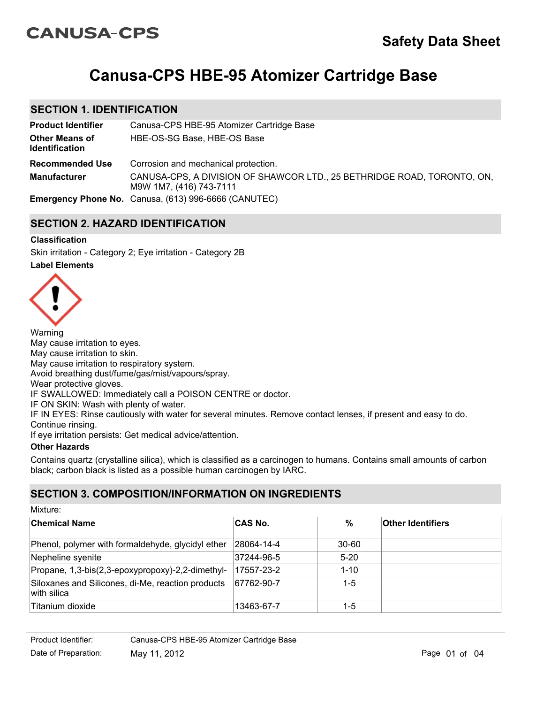# **CANUSA-CPS**

# **Canusa-CPS HBE-95 Atomizer Cartridge Base**

## **SECTION 1. IDENTIFICATION**

| <b>Product Identifier</b>                      | Canusa-CPS HBE-95 Atomizer Cartridge Base                                                          |
|------------------------------------------------|----------------------------------------------------------------------------------------------------|
| <b>Other Means of</b><br><b>Identification</b> | HBE-OS-SG Base, HBE-OS Base                                                                        |
| <b>Recommended Use</b>                         | Corrosion and mechanical protection.                                                               |
| <b>Manufacturer</b>                            | CANUSA-CPS, A DIVISION OF SHAWCOR LTD., 25 BETHRIDGE ROAD, TORONTO, ON,<br>M9W 1M7, (416) 743-7111 |
|                                                | <b>Emergency Phone No.</b> Canusa, (613) 996-6666 (CANUTEC)                                        |

# **SECTION 2. HAZARD IDENTIFICATION**

## **Classification**

**Label Elements** Skin irritation - Category 2; Eye irritation - Category 2B



Warning May cause irritation to eyes. May cause irritation to skin. May cause irritation to respiratory system. Avoid breathing dust/fume/gas/mist/vapours/spray. Wear protective gloves. IF SWALLOWED: Immediately call a POISON CENTRE or doctor. IF ON SKIN: Wash with plenty of water. IF IN EYES: Rinse cautiously with water for several minutes. Remove contact lenses, if present and easy to do. Continue rinsing. If eye irritation persists: Get medical advice/attention.

## **Other Hazards**

Mixture:

Contains quartz (crystalline silica), which is classified as a carcinogen to humans. Contains small amounts of carbon black; carbon black is listed as a possible human carcinogen by IARC.

# **SECTION 3. COMPOSITION/INFORMATION ON INGREDIENTS**

| MIXTURE:                                                         |                |           |                          |
|------------------------------------------------------------------|----------------|-----------|--------------------------|
| <b>Chemical Name</b>                                             | <b>CAS No.</b> | $\%$      | <b>Other Identifiers</b> |
| Phenol, polymer with formaldehyde, glycidyl ether                | 28064-14-4     | $30 - 60$ |                          |
| Nepheline syenite                                                | 37244-96-5     | $5 - 20$  |                          |
| Propane, 1,3-bis(2,3-epoxypropoxy)-2,2-dimethyl-                 | 17557-23-2     | $1 - 10$  |                          |
| Siloxanes and Silicones, di-Me, reaction products<br>with silica | 67762-90-7     | $1 - 5$   |                          |
| Titanium dioxide                                                 | 13463-67-7     | 1-5       |                          |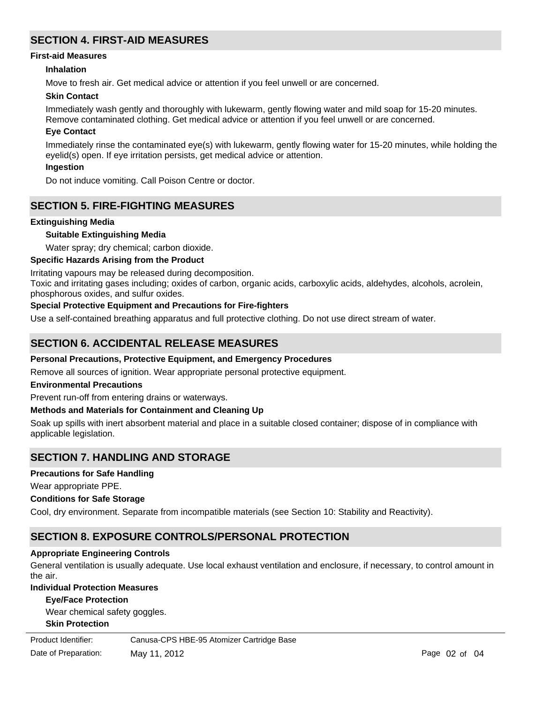# **SECTION 4. FIRST-AID MEASURES**

#### **First-aid Measures**

#### **Inhalation**

Move to fresh air. Get medical advice or attention if you feel unwell or are concerned.

#### **Skin Contact**

Immediately wash gently and thoroughly with lukewarm, gently flowing water and mild soap for 15-20 minutes. Remove contaminated clothing. Get medical advice or attention if you feel unwell or are concerned.

#### **Eye Contact**

Immediately rinse the contaminated eye(s) with lukewarm, gently flowing water for 15-20 minutes, while holding the eyelid(s) open. If eye irritation persists, get medical advice or attention.

#### **Ingestion**

Do not induce vomiting. Call Poison Centre or doctor.

## **SECTION 5. FIRE-FIGHTING MEASURES**

#### **Extinguishing Media**

#### **Suitable Extinguishing Media**

Water spray; dry chemical; carbon dioxide.

#### **Specific Hazards Arising from the Product**

Irritating vapours may be released during decomposition.

Toxic and irritating gases including; oxides of carbon, organic acids, carboxylic acids, aldehydes, alcohols, acrolein, phosphorous oxides, and sulfur oxides.

#### **Special Protective Equipment and Precautions for Fire-fighters**

Use a self-contained breathing apparatus and full protective clothing. Do not use direct stream of water.

## **SECTION 6. ACCIDENTAL RELEASE MEASURES**

#### **Personal Precautions, Protective Equipment, and Emergency Procedures**

Remove all sources of ignition. Wear appropriate personal protective equipment.

#### **Environmental Precautions**

Prevent run-off from entering drains or waterways.

#### **Methods and Materials for Containment and Cleaning Up**

Soak up spills with inert absorbent material and place in a suitable closed container; dispose of in compliance with applicable legislation.

## **SECTION 7. HANDLING AND STORAGE**

#### **Precautions for Safe Handling**

Wear appropriate PPE.

#### **Conditions for Safe Storage**

Cool, dry environment. Separate from incompatible materials (see Section 10: Stability and Reactivity).

## **SECTION 8. EXPOSURE CONTROLS/PERSONAL PROTECTION**

#### **Appropriate Engineering Controls**

General ventilation is usually adequate. Use local exhaust ventilation and enclosure, if necessary, to control amount in the air.

## **Individual Protection Measures**

#### **Eye/Face Protection**

Wear chemical safety goggles.

#### **Skin Protection**

Product Identifier:

Canusa-CPS HBE-95 Atomizer Cartridge Base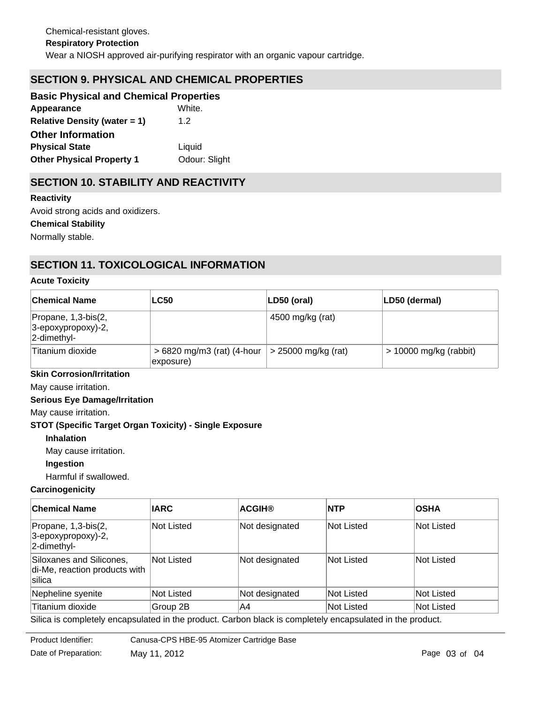# **SECTION 9. PHYSICAL AND CHEMICAL PROPERTIES**

| <b>Basic Physical and Chemical Properties</b> |               |
|-----------------------------------------------|---------------|
| Appearance                                    | White.        |
| <b>Relative Density (water = 1)</b>           | 1.2           |
| <b>Other Information</b>                      |               |
| <b>Physical State</b>                         | Liquid        |
| <b>Other Physical Property 1</b>              | Odour: Slight |

# **SECTION 10. STABILITY AND REACTIVITY**

**Chemical Stability** Normally stable. **Reactivity** Avoid strong acids and oxidizers.

# **SECTION 11. TOXICOLOGICAL INFORMATION**

#### **Acute Toxicity**

| <b>Chemical Name</b>                                             | <b>LC50</b>                                 | LD50 (oral)         | LD50 (dermal)            |
|------------------------------------------------------------------|---------------------------------------------|---------------------|--------------------------|
| Propane, 1,3-bis(2,<br>$ 3$ -epoxypropoxy)-2,<br>$ 2$ -dimethyl- |                                             | 4500 mg/kg (rat)    |                          |
| Titanium dioxide                                                 | $> 6820$ mg/m3 (rat) (4-hour  <br>exposure) | > 25000 mg/kg (rat) | $> 10000$ mg/kg (rabbit) |

#### **Skin Corrosion/Irritation**

May cause irritation.

#### **Serious Eye Damage/Irritation**

May cause irritation.

#### **STOT (Specific Target Organ Toxicity) - Single Exposure**

**Inhalation**

May cause irritation.

#### **Ingestion**

Harmful if swallowed.

## **Carcinogenicity**

| <b>Chemical Name</b>                                                                                     | <b>IARC</b>       | <b>ACGIH®</b>  | <b>INTP</b> | <b>OSHA</b> |
|----------------------------------------------------------------------------------------------------------|-------------------|----------------|-------------|-------------|
| Propane, 1,3-bis(2,<br>$ 3$ -epoxypropoxy)-2,<br>$ 2$ -dimethyl-                                         | Not Listed        | Not designated | Not Listed  | Not Listed  |
| Siloxanes and Silicones,<br>di-Me, reaction products with<br>silica                                      | Not Listed        | Not designated | Not Listed  | Not Listed  |
| Nepheline syenite                                                                                        | <b>Not Listed</b> | Not designated | Not Listed  | Not Listed  |
| Titanium dioxide                                                                                         | Group 2B          | A4             | Not Listed  | Not Listed  |
| Silica is completely encapsulated in the product. Carbon black is completely encapsulated in the product |                   |                |             |             |

Silica is completely encapsulated in the product. Carbon black is completely encapsulated in the product.